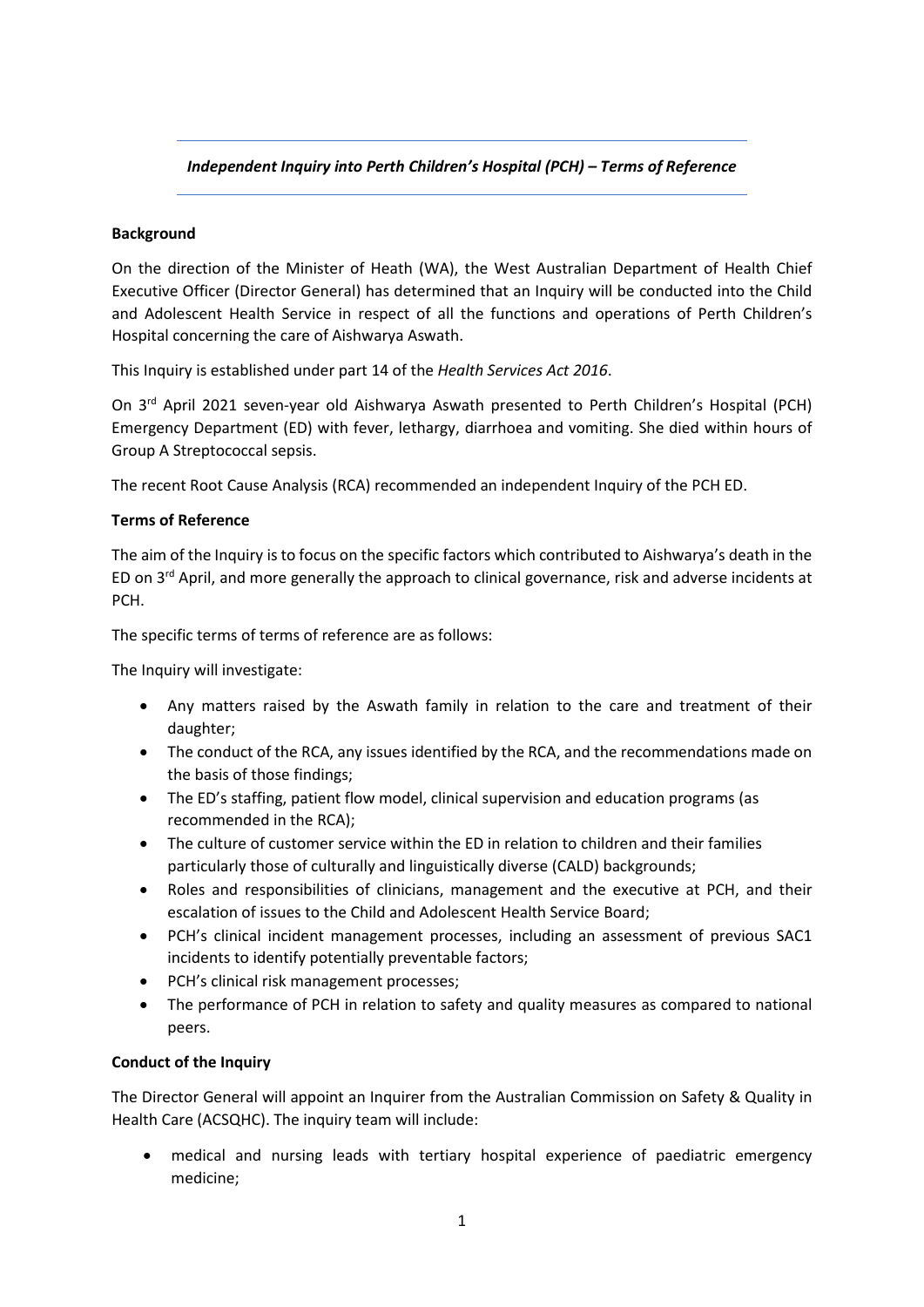# *Independent Inquiry into Perth Children's Hospital (PCH) – Terms of Reference*

### **Background**

On the direction of the Minister of Heath (WA), the West Australian Department of Health Chief Executive Officer (Director General) has determined that an Inquiry will be conducted into the Child and Adolescent Health Service in respect of all the functions and operations of Perth Children's Hospital concerning the care of Aishwarya Aswath.

This Inquiry is established under part 14 of the *Health Services Act 2016*.

On 3rd April 2021 seven-year old Aishwarya Aswath presented to Perth Children's Hospital (PCH) Emergency Department (ED) with fever, lethargy, diarrhoea and vomiting. She died within hours of Group A Streptococcal sepsis.

The recent Root Cause Analysis (RCA) recommended an independent Inquiry of the PCH ED.

### **Terms of Reference**

The aim of the Inquiry is to focus on the specific factors which contributed to Aishwarya's death in the ED on 3<sup>rd</sup> April, and more generally the approach to clinical governance, risk and adverse incidents at PCH.

The specific terms of terms of reference are as follows:

The Inquiry will investigate:

- Any matters raised by the Aswath family in relation to the care and treatment of their daughter;
- The conduct of the RCA, any issues identified by the RCA, and the recommendations made on the basis of those findings;
- The ED's staffing, patient flow model, clinical supervision and education programs (as recommended in the RCA);
- The culture of customer service within the ED in relation to children and their families particularly those of culturally and linguistically diverse (CALD) backgrounds;
- Roles and responsibilities of clinicians, management and the executive at PCH, and their escalation of issues to the Child and Adolescent Health Service Board;
- PCH's clinical incident management processes, including an assessment of previous SAC1 incidents to identify potentially preventable factors;
- PCH's clinical risk management processes;
- The performance of PCH in relation to safety and quality measures as compared to national peers.

# **Conduct of the Inquiry**

The Director General will appoint an Inquirer from the Australian Commission on Safety & Quality in Health Care (ACSQHC). The inquiry team will include:

• medical and nursing leads with tertiary hospital experience of paediatric emergency medicine;